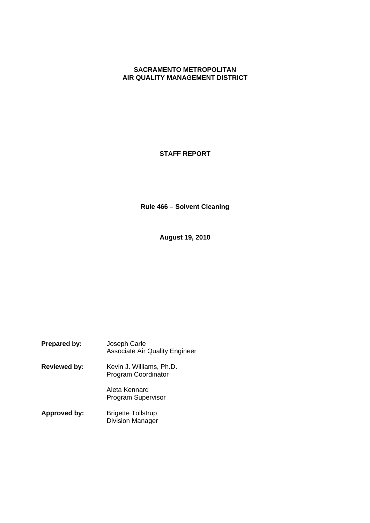# **SACRAMENTO METROPOLITAN AIR QUALITY MANAGEMENT DISTRICT**

## **STAFF REPORT**

**Rule 466 – Solvent Cleaning**

**August 19, 2010**

| Prepared by:        | Joseph Carle<br><b>Associate Air Quality Engineer</b> |
|---------------------|-------------------------------------------------------|
| <b>Reviewed by:</b> | Kevin J. Williams, Ph.D.<br>Program Coordinator       |
|                     | Aleta Kennard<br><b>Program Supervisor</b>            |
| Approved by:        | <b>Brigette Tollstrup</b><br><b>Division Manager</b>  |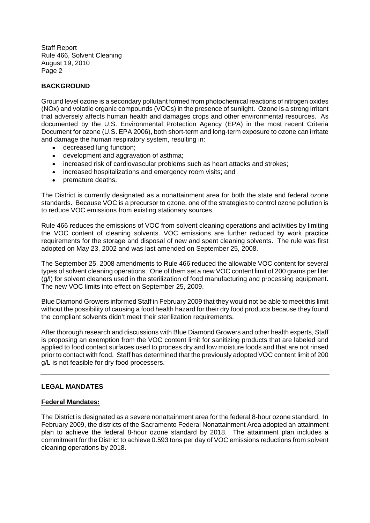## **BACKGROUND**

Ground level ozone is a secondary pollutant formed from photochemical reactions of nitrogen oxides (NOx) and volatile organic compounds (VOCs) in the presence of sunlight. Ozone is a strong irritant that adversely affects human health and damages crops and other environmental resources. As documented by the U.S. Environmental Protection Agency (EPA) in the most recent Criteria Document for ozone (U.S. EPA 2006), both short-term and long-term exposure to ozone can irritate and damage the human respiratory system, resulting in:

- $\bullet$ decreased lung function;
- development and aggravation of asthma;
- increased risk of cardiovascular problems such as heart attacks and strokes;
- increased hospitalizations and emergency room visits; and
- premature deaths.

The District is currently designated as a nonattainment area for both the state and federal ozone standards. Because VOC is a precursor to ozone, one of the strategies to control ozone pollution is to reduce VOC emissions from existing stationary sources.

Rule 466 reduces the emissions of VOC from solvent cleaning operations and activities by limiting the VOC content of cleaning solvents. VOC emissions are further reduced by work practice requirements for the storage and disposal of new and spent cleaning solvents. The rule was first adopted on May 23, 2002 and was last amended on September 25, 2008.

The September 25, 2008 amendments to Rule 466 reduced the allowable VOC content for several types of solvent cleaning operations. One of them set a new VOC content limit of 200 grams per liter (g/l) for solvent cleaners used in the sterilization of food manufacturing and processing equipment. The new VOC limits into effect on September 25, 2009.

Blue Diamond Growers informed Staff in February 2009 that they would not be able to meet this limit without the possibility of causing a food health hazard for their dry food products because they found the compliant solvents didn't meet their sterilization requirements.

After thorough research and discussions with Blue Diamond Growers and other health experts, Staff is proposing an exemption from the VOC content limit for sanitizing products that are labeled and applied to food contact surfaces used to process dry and low moisture foods and that are not rinsed prior to contact with food. Staff has determined that the previously adopted VOC content limit of 200 g/L is not feasible for dry food processers.

#### **LEGAL MANDATES**

#### **Federal Mandates:**

The District is designated as a severe nonattainment area for the federal 8-hour ozone standard. In February 2009, the districts of the Sacramento Federal Nonattainment Area adopted an attainment plan to achieve the federal 8-hour ozone standard by 2018. The attainment plan includes a commitment for the District to achieve 0.593 tons per day of VOC emissions reductions from solvent cleaning operations by 2018.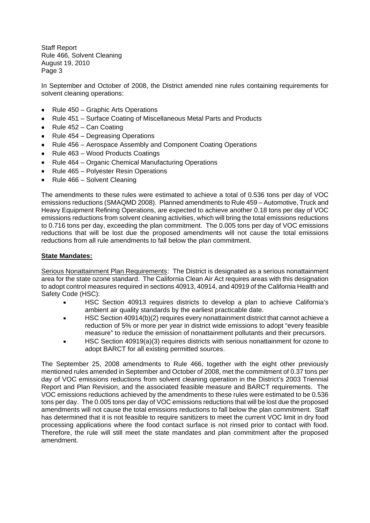In September and October of 2008, the District amended nine rules containing requirements for solvent cleaning operations:

- Rule 450 Graphic Arts Operations
- Rule 451 Surface Coating of Miscellaneous Metal Parts and Products
- Rule 452 Can Coating
- Rule 454 Degreasing Operations
- Rule 456 Aerospace Assembly and Component Coating Operations
- Rule 463 Wood Products Coatings
- Rule 464 Organic Chemical Manufacturing Operations
- Rule 465 Polyester Resin Operations
- Rule 466 Solvent Cleaning

The amendments to these rules were estimated to achieve a total of 0.536 tons per day of VOC emissions reductions (SMAQMD 2008). Planned amendments to Rule 459 – Automotive, Truck and Heavy Equipment Refining Operations, are expected to achieve another 0.18 tons per day of VOC emissions reductions from solvent cleaning activities, which will bring the total emissions reductions to 0.716 tons per day, exceeding the plan commitment. The 0.005 tons per day of VOC emissions reductions that will be lost due the proposed amendments will not cause the total emissions reductions from all rule amendments to fall below the plan commitment.

#### **State Mandates:**

Serious Nonattainment Plan Requirements: The District is designated as a serious nonattainment area for the state ozone standard. The California Clean Air Act requires areas with this designation to adopt control measures required in sections 40913, 40914, and 40919 of the California Health and Safety Code (HSC):

- HSC Section 40913 requires districts to develop a plan to achieve California's ambient air quality standards by the earliest practicable date.
- HSC Section 40914(b)(2) requires every nonattainment district that cannot achieve a  $\bullet$ reduction of 5% or more per year in district wide emissions to adopt "every feasible measure" to reduce the emission of nonattainment pollutants and their precursors.
- HSC Section 40919(a)(3) requires districts with serious nonattainment for ozone to  $\bullet$ adopt BARCT for all existing permitted sources.

The September 25, 2008 amendments to Rule 466, together with the eight other previously mentioned rules amended in September and October of 2008, met the commitment of 0.37 tons per day of VOC emissions reductions from solvent cleaning operation in the District's 2003 Triennial Report and Plan Revision, and the associated feasible measure and BARCT requirements. The VOC emissions reductions achieved by the amendments to these rules were estimated to be 0.536 tons per day. The 0.005 tons per day of VOC emissions reductions that will be lost due the proposed amendments will not cause the total emissions reductions to fall below the plan commitment. Staff has determined that it is not feasible to require sanitizers to meet the current VOC limit in dry food processing applications where the food contact surface is not rinsed prior to contact with food. Therefore, the rule will still meet the state mandates and plan commitment after the proposed amendment.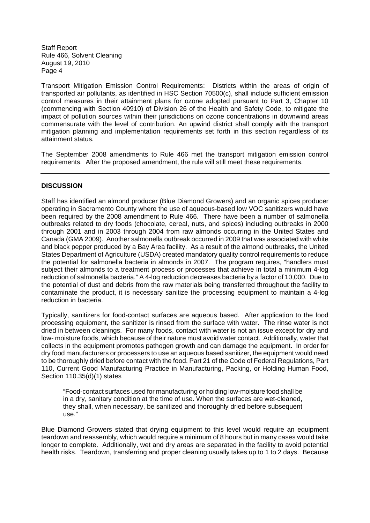Transport Mitigation Emission Control Requirements: Districts within the areas of origin of transported air pollutants, as identified in HSC Section 70500(c), shall include sufficient emission control measures in their attainment plans for ozone adopted pursuant to Part 3, Chapter 10 (commencing with Section 40910) of Division 26 of the Health and Safety Code, to mitigate the impact of pollution sources within their jurisdictions on ozone concentrations in downwind areas commensurate with the level of contribution. An upwind district shall comply with the transport mitigation planning and implementation requirements set forth in this section regardless of its attainment status.

The September 2008 amendments to Rule 466 met the transport mitigation emission control requirements. After the proposed amendment, the rule will still meet these requirements.

## **DISCUSSION**

Staff has identified an almond producer (Blue Diamond Growers) and an organic spices producer operating in Sacramento County where the use of aqueous-based low VOC sanitizers would have been required by the 2008 amendment to Rule 466. There have been a number of salmonella outbreaks related to dry foods (chocolate, cereal, nuts, and spices) including outbreaks in 2000 through 2001 and in 2003 through 2004 from raw almonds occurring in the United States and Canada (GMA 2009). Another salmonella outbreak occurred in 2009 that was associated with white and black pepper produced by a Bay Area facility. As a result of the almond outbreaks, the United States Department of Agriculture (USDA) created mandatory quality control requirements to reduce the potential for salmonella bacteria in almonds in 2007. The program requires, "handlers must subject their almonds to a treatment process or processes that achieve in total a minimum 4-log reduction of salmonella bacteria." A 4-log reduction decreases bacteria by a factor of 10,000. Due to the potential of dust and debris from the raw materials being transferred throughout the facility to contaminate the product, it is necessary sanitize the processing equipment to maintain a 4-log reduction in bacteria.

Typically, sanitizers for food-contact surfaces are aqueous based. After application to the food processing equipment, the sanitizer is rinsed from the surface with water. The rinse water is not dried in between cleanings. For many foods, contact with water is not an issue except for dry and low- moisture foods, which because of their nature must avoid water contact. Additionally, water that collects in the equipment promotes pathogen growth and can damage the equipment. In order for dry food manufacturers or processers to use an aqueous based sanitizer, the equipment would need to be thoroughly dried before contact with the food. Part 21 of the Code of Federal Regulations, Part 110, Current Good Manufacturing Practice in Manufacturing, Packing, or Holding Human Food, Section 110.35(d)(1) states

"Food-contact surfaces used for manufacturing or holding low-moisture food shall be in a dry, sanitary condition at the time of use. When the surfaces are wet-cleaned, they shall, when necessary, be sanitized and thoroughly dried before subsequent use."

Blue Diamond Growers stated that drying equipment to this level would require an equipment teardown and reassembly, which would require a minimum of 8 hours but in many cases would take longer to complete. Additionally, wet and dry areas are separated in the facility to avoid potential health risks. Teardown, transferring and proper cleaning usually takes up to 1 to 2 days. Because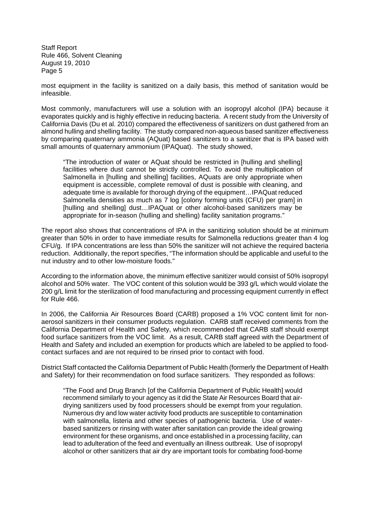most equipment in the facility is sanitized on a daily basis, this method of sanitation would be infeasible.

Most commonly, manufacturers will use a solution with an isopropyl alcohol (IPA) because it evaporates quickly and is highly effective in reducing bacteria. A recent study from the University of California Davis (Du et al. 2010) compared the effectiveness of sanitizers on dust gathered from an almond hulling and shelling facility. The study compared non-aqueous based sanitizer effectiveness by comparing quaternary ammonia (AQuat) based sanitizers to a sanitizer that is IPA based with small amounts of quaternary ammonium (IPAQuat). The study showed,

"The introduction of water or AQuat should be restricted in [hulling and shelling] facilities where dust cannot be strictly controlled. To avoid the multiplication of Salmonella in [hulling and shelling] facilities, AQuats are only appropriate when equipment is accessible, complete removal of dust is possible with cleaning, and adequate time is available for thorough drying of the equipment…IPAQuat reduced Salmonella densities as much as 7 log [colony forming units (CFU) per gram] in [hulling and shelling] dust…IPAQuat or other alcohol-based sanitizers may be appropriate for in-season (hulling and shelling) facility sanitation programs."

The report also shows that concentrations of IPA in the sanitizing solution should be at minimum greater than 50% in order to have immediate results for Salmonella reductions greater than 4 log CFU/g. If IPA concentrations are less than 50% the sanitizer will not achieve the required bacteria reduction. Additionally, the report specifies, "The information should be applicable and useful to the nut industry and to other low-moisture foods."

According to the information above, the minimum effective sanitizer would consist of 50% isopropyl alcohol and 50% water. The VOC content of this solution would be 393 g/L which would violate the 200 g/L limit for the sterilization of food manufacturing and processing equipment currently in effect for Rule 466.

In 2006, the California Air Resources Board (CARB) proposed a 1% VOC content limit for nonaerosol sanitizers in their consumer products regulation. CARB staff received comments from the California Department of Health and Safety, which recommended that CARB staff should exempt food surface sanitizers from the VOC limit. As a result, CARB staff agreed with the Department of Health and Safety and included an exemption for products which are labeled to be applied to foodcontact surfaces and are not required to be rinsed prior to contact with food.

District Staff contacted the California Department of Public Health (formerly the Department of Health and Safety) for their recommendation on food surface sanitizers. They responded as follows:

"The Food and Drug Branch [of the California Department of Public Health] would recommend similarly to your agency as it did the State Air Resources Board that airdrying sanitizers used by food processers should be exempt from your regulation. Numerous dry and low water activity food products are susceptible to contamination with salmonella, listeria and other species of pathogenic bacteria. Use of waterbased sanitizers or rinsing with water after sanitation can provide the ideal growing environment for these organisms, and once established in a processing facility, can lead to adulteration of the feed and eventually an illness outbreak. Use of isopropyl alcohol or other sanitizers that air dry are important tools for combating food-borne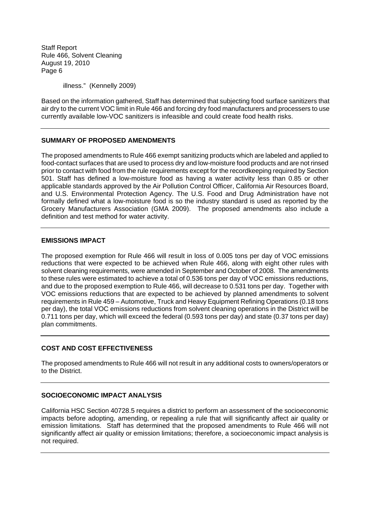illness." (Kennelly 2009)

Based on the information gathered, Staff has determined that subjecting food surface sanitizers that air dry to the current VOC limit in Rule 466 and forcing dry food manufacturers and processers to use currently available low-VOC sanitizers is infeasible and could create food health risks.

## **SUMMARY OF PROPOSED AMENDMENTS**

The proposed amendments to Rule 466 exempt sanitizing products which are labeled and applied to food-contact surfaces that are used to process dry and low-moisture food products and are not rinsed prior to contact with food from the rule requirements except for the recordkeeping required by Section 501. Staff has defined a low-moisture food as having a water activity less than 0.85 or other applicable standards approved by the Air Pollution Control Officer, California Air Resources Board, and U.S. Environmental Protection Agency. The U.S. Food and Drug Administration have not formally defined what a low-moisture food is so the industry standard is used as reported by the Grocery Manufacturers Association (GMA 2009). The proposed amendments also include a definition and test method for water activity.

## **EMISSIONS IMPACT**

The proposed exemption for Rule 466 will result in loss of 0.005 tons per day of VOC emissions reductions that were expected to be achieved when Rule 466, along with eight other rules with solvent cleaning requirements, were amended in September and October of 2008. The amendments to these rules were estimated to achieve a total of 0.536 tons per day of VOC emissions reductions, and due to the proposed exemption to Rule 466, will decrease to 0.531 tons per day. Together with VOC emissions reductions that are expected to be achieved by planned amendments to solvent requirements in Rule 459 – Automotive, Truck and Heavy Equipment Refining Operations (0.18 tons per day), the total VOC emissions reductions from solvent cleaning operations in the District will be 0.711 tons per day, which will exceed the federal (0.593 tons per day) and state (0.37 tons per day) plan commitments.

# **COST AND COST EFFECTIVENESS**

The proposed amendments to Rule 466 will not result in any additional costs to owners/operators or to the District.

#### **SOCIOECONOMIC IMPACT ANALYSIS**

California HSC Section 40728.5 requires a district to perform an assessment of the socioeconomic impacts before adopting, amending, or repealing a rule that will significantly affect air quality or emission limitations. Staff has determined that the proposed amendments to Rule 466 will not significantly affect air quality or emission limitations; therefore, a socioeconomic impact analysis is not required.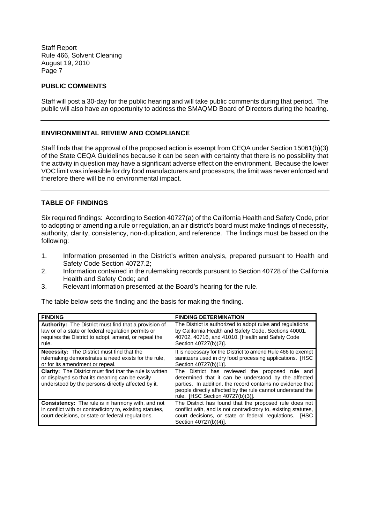## **PUBLIC COMMENTS**

Staff will post a 30-day for the public hearing and will take public comments during that period. The public will also have an opportunity to address the SMAQMD Board of Directors during the hearing.

## **ENVIRONMENTAL REVIEW AND COMPLIANCE**

Staff finds that the approval of the proposed action is exempt from CEQA under Section 15061(b)(3) of the State CEQA Guidelines because it can be seen with certainty that there is no possibility that the activity in question may have a significant adverse effect on the environment. Because the lower VOC limit was infeasible for dry food manufacturers and processors, the limit was never enforced and therefore there will be no environmental impact.

#### **TABLE OF FINDINGS**

Six required findings: According to Section 40727(a) of the California Health and Safety Code, prior to adopting or amending a rule or regulation, an air district's board must make findings of necessity, authority, clarity, consistency, non-duplication, and reference. The findings must be based on the following:

- 1. Information presented in the District's written analysis, prepared pursuant to Health and Safety Code Section 40727.2;
- 2. Information contained in the rulemaking records pursuant to Section 40728 of the California Health and Safety Code; and
- 3. Relevant information presented at the Board's hearing for the rule.

The table below sets the finding and the basis for making the finding.

| <b>FINDING</b>                                                                                                                                                                      | <b>FINDING DETERMINATION</b>                                                                                                                                                                                                                                            |
|-------------------------------------------------------------------------------------------------------------------------------------------------------------------------------------|-------------------------------------------------------------------------------------------------------------------------------------------------------------------------------------------------------------------------------------------------------------------------|
| <b>Authority:</b> The District must find that a provision of<br>law or of a state or federal regulation permits or<br>requires the District to adopt, amend, or repeal the<br>rule. | The District is authorized to adopt rules and regulations<br>by California Health and Safety Code, Sections 40001,<br>40702, 40716, and 41010. [Health and Safety Code<br>Section 40727(b)(2)].                                                                         |
| <b>Necessity:</b> The District must find that the<br>rulemaking demonstrates a need exists for the rule,<br>or for its amendment or repeal.                                         | It is necessary for the District to amend Rule 466 to exempt<br>sanitizers used in dry food processing applications. [HSC<br>Section 40727(b)(1)].                                                                                                                      |
| <b>Clarity:</b> The District must find that the rule is written<br>or displayed so that its meaning can be easily<br>understood by the persons directly affected by it.             | The District has reviewed the proposed rule and<br>determined that it can be understood by the affected<br>parties. In addition, the record contains no evidence that<br>people directly affected by the rule cannot understand the<br>rule. [HSC Section 40727(b)(3)]. |
| <b>Consistency:</b> The rule is in harmony with, and not<br>in conflict with or contradictory to, existing statutes,<br>court decisions, or state or federal regulations.           | The District has found that the proposed rule does not<br>conflict with, and is not contradictory to, existing statutes,<br>court decisions, or state or federal regulations. [HSC<br>Section 40727(b)(4)].                                                             |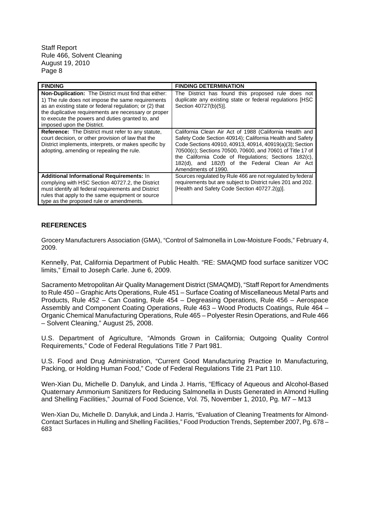| <b>FINDING</b>                                                                                                                                                                                                                                                                                                        | <b>FINDING DETERMINATION</b>                                                                                                                                                                                                                                                                                                                                                  |
|-----------------------------------------------------------------------------------------------------------------------------------------------------------------------------------------------------------------------------------------------------------------------------------------------------------------------|-------------------------------------------------------------------------------------------------------------------------------------------------------------------------------------------------------------------------------------------------------------------------------------------------------------------------------------------------------------------------------|
| <b>Non-Duplication:</b> The District must find that either:<br>1) The rule does not impose the same requirements<br>as an existing state or federal regulation; or (2) that<br>the duplicative requirements are necessary or proper<br>to execute the powers and duties granted to, and<br>imposed upon the District. | The District has found this proposed rule does not<br>duplicate any existing state or federal regulations [HSC<br>Section 40727(b)(5)].                                                                                                                                                                                                                                       |
| <b>Reference:</b> The District must refer to any statute,<br>court decision, or other provision of law that the<br>District implements, interprets, or makes specific by<br>adopting, amending or repealing the rule.                                                                                                 | California Clean Air Act of 1988 (California Health and<br>Safety Code Section 40914); California Health and Safety<br>Code Sections 40910, 40913, 40914, 40919(a)(3); Section<br>70500(c); Sections 70500, 70600, and 70601 of Title 17 of<br>the California Code of Regulations; Sections 182(c),<br>182(d), and 182(f) of the Federal Clean Air Act<br>Amendments of 1990. |
| <b>Additional Informational Requirements: In</b><br>complying with HSC Section 40727.2, the District<br>must identify all federal requirements and District<br>rules that apply to the same equipment or source<br>type as the proposed rule or amendments.                                                           | Sources regulated by Rule 466 are not regulated by federal<br>requirements but are subject to District rules 201 and 202.<br>[Health and Safety Code Section 40727.2(g)].                                                                                                                                                                                                     |

# **REFERENCES**

Grocery Manufacturers Association (GMA), "Control of Salmonella in Low-Moisture Foods," February 4, 2009.

Kennelly, Pat, California Department of Public Health. "RE: SMAQMD food surface sanitizer VOC limits," Email to Joseph Carle. June 6, 2009.

Sacramento Metropolitan Air Quality Management District (SMAQMD), "Staff Report for Amendments to Rule 450 – Graphic Arts Operations, Rule 451 – Surface Coating of Miscellaneous Metal Parts and Products, Rule 452 – Can Coating, Rule 454 – Degreasing Operations, Rule 456 – Aerospace Assembly and Component Coating Operations, Rule 463 – Wood Products Coatings, Rule 464 – Organic Chemical Manufacturing Operations, Rule 465 – Polyester Resin Operations, and Rule 466 – Solvent Cleaning," August 25, 2008.

U.S. Department of Agriculture, "Almonds Grown in California; Outgoing Quality Control Requirements," Code of Federal Regulations Title 7 Part 981.

U.S. Food and Drug Administration, "Current Good Manufacturing Practice In Manufacturing, Packing, or Holding Human Food," Code of Federal Regulations Title 21 Part 110.

Wen-Xian Du, Michelle D. Danyluk, and Linda J. Harris, "Efficacy of Aqueous and Alcohol-Based Quaternary Ammonium Sanitizers for Reducing Salmonella in Dusts Generated in Almond Hulling and Shelling Facilities," Journal of Food Science, Vol. 75, November 1, 2010, Pg. M7 – M13

Wen-Xian Du, Michelle D. Danyluk, and Linda J. Harris, "Evaluation of Cleaning Treatments for Almond-Contact Surfaces in Hulling and Shelling Facilities," Food Production Trends, September 2007, Pg. 678 – 683